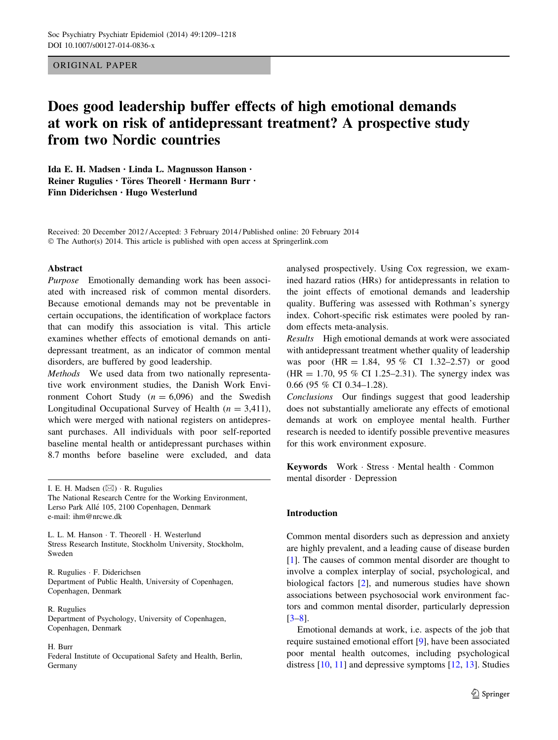## ORIGINAL PAPER

# Does good leadership buffer effects of high emotional demands at work on risk of antidepressant treatment? A prospective study from two Nordic countries

Ida E. H. Madsen • Linda L. Magnusson Hanson • Reiner Rugulies · Töres Theorell · Hermann Burr · Finn Diderichsen • Hugo Westerlund

Received: 20 December 2012 / Accepted: 3 February 2014 / Published online: 20 February 2014 © The Author(s) 2014. This article is published with open access at Springerlink.com

## Abstract

Purpose Emotionally demanding work has been associated with increased risk of common mental disorders. Because emotional demands may not be preventable in certain occupations, the identification of workplace factors that can modify this association is vital. This article examines whether effects of emotional demands on antidepressant treatment, as an indicator of common mental disorders, are buffered by good leadership.

Methods We used data from two nationally representative work environment studies, the Danish Work Environment Cohort Study ( $n = 6,096$ ) and the Swedish Longitudinal Occupational Survey of Health ( $n = 3,411$ ), which were merged with national registers on antidepressant purchases. All individuals with poor self-reported baseline mental health or antidepressant purchases within 8.7 months before baseline were excluded, and data

e-mail: ihm@nrcwe.dk

L. L. M. Hanson · T. Theorell · H. Westerlund Stress Research Institute, Stockholm University, Stockholm, Sweden

R. Rugulies - F. Diderichsen Department of Public Health, University of Copenhagen, Copenhagen, Denmark

R. Rugulies Department of Psychology, University of Copenhagen, Copenhagen, Denmark

## H. Burr

Federal Institute of Occupational Safety and Health, Berlin, Germany

analysed prospectively. Using Cox regression, we examined hazard ratios (HRs) for antidepressants in relation to the joint effects of emotional demands and leadership quality. Buffering was assessed with Rothman's synergy index. Cohort-specific risk estimates were pooled by random effects meta-analysis.

Results High emotional demands at work were associated with antidepressant treatment whether quality of leadership was poor  $(HR = 1.84, 95\% \text{ CI } 1.32-2.57)$  or good  $(HR = 1.70, 95\% \text{ CI } 1.25-2.31)$ . The synergy index was 0.66 (95 % CI 0.34–1.28).

Conclusions Our findings suggest that good leadership does not substantially ameliorate any effects of emotional demands at work on employee mental health. Further research is needed to identify possible preventive measures for this work environment exposure.

Keywords Work - Stress - Mental health - Common mental disorder - Depression

## Introduction

Common mental disorders such as depression and anxiety are highly prevalent, and a leading cause of disease burden [\[1](#page-8-0)]. The causes of common mental disorder are thought to involve a complex interplay of social, psychological, and biological factors [\[2](#page-8-0)], and numerous studies have shown associations between psychosocial work environment factors and common mental disorder, particularly depression [\[3–8](#page-8-0)].

Emotional demands at work, i.e. aspects of the job that require sustained emotional effort [\[9](#page-8-0)], have been associated poor mental health outcomes, including psychological distress [[10,](#page-8-0) [11\]](#page-8-0) and depressive symptoms [\[12](#page-8-0), [13](#page-8-0)]. Studies

I. E. H. Madsen  $(\boxtimes) \cdot R$ . Rugulies The National Research Centre for the Working Environment, Lerso Park Allé 105, 2100 Copenhagen, Denmark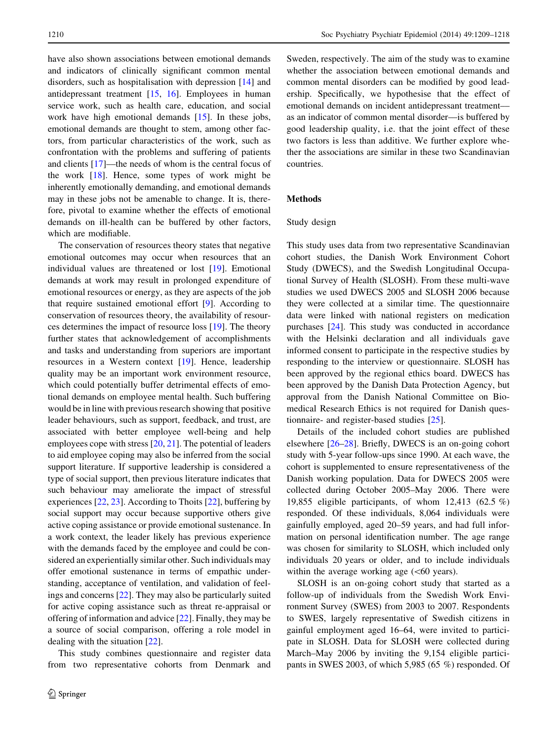have also shown associations between emotional demands and indicators of clinically significant common mental disorders, such as hospitalisation with depression [\[14](#page-8-0)] and antidepressant treatment [\[15](#page-8-0), [16\]](#page-8-0). Employees in human service work, such as health care, education, and social work have high emotional demands [[15\]](#page-8-0). In these jobs, emotional demands are thought to stem, among other factors, from particular characteristics of the work, such as confrontation with the problems and suffering of patients and clients [\[17](#page-8-0)]––the needs of whom is the central focus of the work [\[18](#page-8-0)]. Hence, some types of work might be inherently emotionally demanding, and emotional demands may in these jobs not be amenable to change. It is, therefore, pivotal to examine whether the effects of emotional demands on ill-health can be buffered by other factors, which are modifiable.

The conservation of resources theory states that negative emotional outcomes may occur when resources that an individual values are threatened or lost [[19\]](#page-9-0). Emotional demands at work may result in prolonged expenditure of emotional resources or energy, as they are aspects of the job that require sustained emotional effort [\[9](#page-8-0)]. According to conservation of resources theory, the availability of resources determines the impact of resource loss [[19\]](#page-9-0). The theory further states that acknowledgement of accomplishments and tasks and understanding from superiors are important resources in a Western context [[19\]](#page-9-0). Hence, leadership quality may be an important work environment resource, which could potentially buffer detrimental effects of emotional demands on employee mental health. Such buffering would be in line with previous research showing that positive leader behaviours, such as support, feedback, and trust, are associated with better employee well-being and help employees cope with stress [[20,](#page-9-0) [21](#page-9-0)]. The potential of leaders to aid employee coping may also be inferred from the social support literature. If supportive leadership is considered a type of social support, then previous literature indicates that such behaviour may ameliorate the impact of stressful experiences [[22,](#page-9-0) [23](#page-9-0)]. According to Thoits [[22\]](#page-9-0), buffering by social support may occur because supportive others give active coping assistance or provide emotional sustenance. In a work context, the leader likely has previous experience with the demands faced by the employee and could be considered an experientially similar other. Such individuals may offer emotional sustenance in terms of empathic understanding, acceptance of ventilation, and validation of feelings and concerns [\[22](#page-9-0)]. They may also be particularly suited for active coping assistance such as threat re-appraisal or offering of information and advice [[22\]](#page-9-0). Finally, they may be a source of social comparison, offering a role model in dealing with the situation [\[22](#page-9-0)].

This study combines questionnaire and register data from two representative cohorts from Denmark and Sweden, respectively. The aim of the study was to examine whether the association between emotional demands and common mental disorders can be modified by good leadership. Specifically, we hypothesise that the effect of emotional demands on incident antidepressant treatment–– as an indicator of common mental disorder––is buffered by good leadership quality, i.e. that the joint effect of these two factors is less than additive. We further explore whether the associations are similar in these two Scandinavian countries.

# Methods

## Study design

This study uses data from two representative Scandinavian cohort studies, the Danish Work Environment Cohort Study (DWECS), and the Swedish Longitudinal Occupational Survey of Health (SLOSH). From these multi-wave studies we used DWECS 2005 and SLOSH 2006 because they were collected at a similar time. The questionnaire data were linked with national registers on medication purchases [\[24](#page-9-0)]. This study was conducted in accordance with the Helsinki declaration and all individuals gave informed consent to participate in the respective studies by responding to the interview or questionnaire. SLOSH has been approved by the regional ethics board. DWECS has been approved by the Danish Data Protection Agency, but approval from the Danish National Committee on Biomedical Research Ethics is not required for Danish questionnaire- and register-based studies [\[25](#page-9-0)].

Details of the included cohort studies are published elsewhere [[26–28](#page-9-0)]. Briefly, DWECS is an on-going cohort study with 5-year follow-ups since 1990. At each wave, the cohort is supplemented to ensure representativeness of the Danish working population. Data for DWECS 2005 were collected during October 2005–May 2006. There were 19,855 eligible participants, of whom 12,413 (62.5 %) responded. Of these individuals, 8,064 individuals were gainfully employed, aged 20–59 years, and had full information on personal identification number. The age range was chosen for similarity to SLOSH, which included only individuals 20 years or older, and to include individuals within the average working age  $( $60$  years).$ 

SLOSH is an on-going cohort study that started as a follow-up of individuals from the Swedish Work Environment Survey (SWES) from 2003 to 2007. Respondents to SWES, largely representative of Swedish citizens in gainful employment aged 16–64, were invited to participate in SLOSH. Data for SLOSH were collected during March–May 2006 by inviting the 9,154 eligible participants in SWES 2003, of which 5,985 (65 %) responded. Of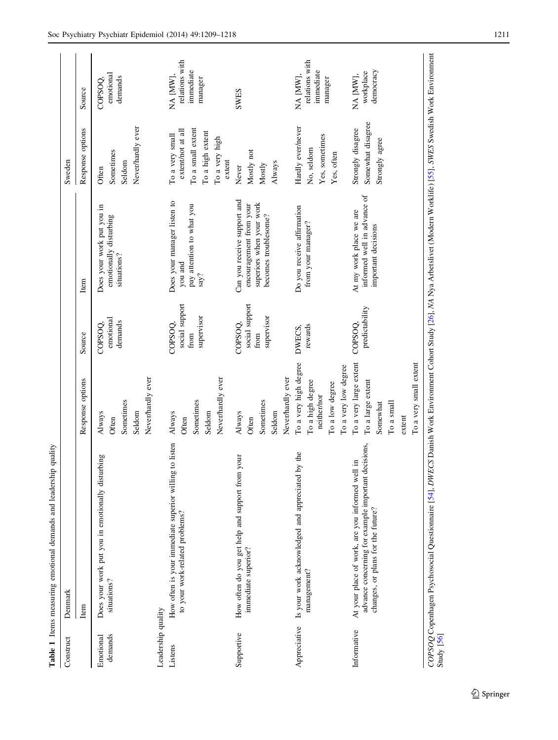|                      | quality<br>Table 1 Items measuring emotional demands and leadership                                                                                                          |                                                                                                           |                                                 |                                                                                                            |                                                                                                           |                                                    |
|----------------------|------------------------------------------------------------------------------------------------------------------------------------------------------------------------------|-----------------------------------------------------------------------------------------------------------|-------------------------------------------------|------------------------------------------------------------------------------------------------------------|-----------------------------------------------------------------------------------------------------------|----------------------------------------------------|
| Construct            | Denmark                                                                                                                                                                      |                                                                                                           |                                                 |                                                                                                            | Sweden                                                                                                    |                                                    |
|                      | Item                                                                                                                                                                         | Response options                                                                                          | Source                                          | Item                                                                                                       | Response options                                                                                          | Source                                             |
| demands<br>Emotional | Does your work put you in emotionally disturbing<br>situations?                                                                                                              | Never/hardly ever<br>Sometimes<br>Always<br>Seldom<br>Often                                               | emotional<br>demands<br>COPSOQ,                 | Does your work put you in<br>emotionally disturbing<br>situations?                                         | Never/hardly ever<br>Sometimes<br>Seldom<br>Often                                                         | emotional<br>demands<br>COPSOQ,                    |
| Leadership quality   |                                                                                                                                                                              |                                                                                                           |                                                 |                                                                                                            |                                                                                                           |                                                    |
| Listens              | to listen<br>How often is your immediate superior willing<br>to your work-related problems?                                                                                  | Never/hardly ever<br>Sometimes<br>Always<br>Seldom<br>Often                                               | social support<br>supervisor<br>COPSOQ.<br>from | Does your manager listen to<br>pay attention to what you<br>you and<br>$\mathrm{say?}$                     | To a small extent<br>extent/not at all<br>To a high extent<br>To a very small<br>To a very high<br>extent | relations with<br>immediate<br>NA [MW],<br>manager |
| Supportive           | your<br>How often do you get help and support from<br>immediate superior?                                                                                                    | Never/hardly ever<br>Sometimes<br>Seldom<br>Always<br>Often                                               | social support<br>supervisor<br>COPSOQ.<br>from | Can you receive support and<br>superiors when your work<br>encouragement from your<br>becomes troublesome? | Mostly not<br>Always<br>Mostly<br>Never                                                                   | <b>SWES</b>                                        |
| Appreciative         | Is your work acknowledged and appreciated by the<br>management?                                                                                                              | To a very high degree<br>To a very low degree<br>To a high degree<br>To a low degree<br>neither/nor       | rewards<br>DWECS,                               | Do you receive affirmation<br>from your manager?                                                           | Hardly ever/never<br>Yes, sometimes<br>No, seldom<br>Yes, often                                           | relations with<br>immediate<br>NA [MW],<br>manager |
| Informative          | advance concerning for example important decisions,<br>$\Xi$<br>At your place of work, are you informed well<br>changes, or plans for the future?                            | To a very large extent<br>To a very small extent<br>To a large extent<br>To a small<br>Somewhat<br>extent | predictability<br>COPSOQ,                       | informed well in advance of<br>At my work place we are<br>important decisions                              | Somewhat disagree<br>Strongly disagree<br>Strongly agree                                                  | democracy<br>workplace<br>NA [MW],                 |
| Study [56]           | COPSOQ Copenhagen Psychosocial Questionnaire [54], DWECS Danish Work Environment Cohort Study [26], MA Nya Arbetslivet (Modern Worklife) [55], SWES Swedish Work Environment |                                                                                                           |                                                 |                                                                                                            |                                                                                                           |                                                    |

<span id="page-2-0"></span>Soc Psychiatry Psychiatr Epidemiol (2014) 49:1209-1218 1211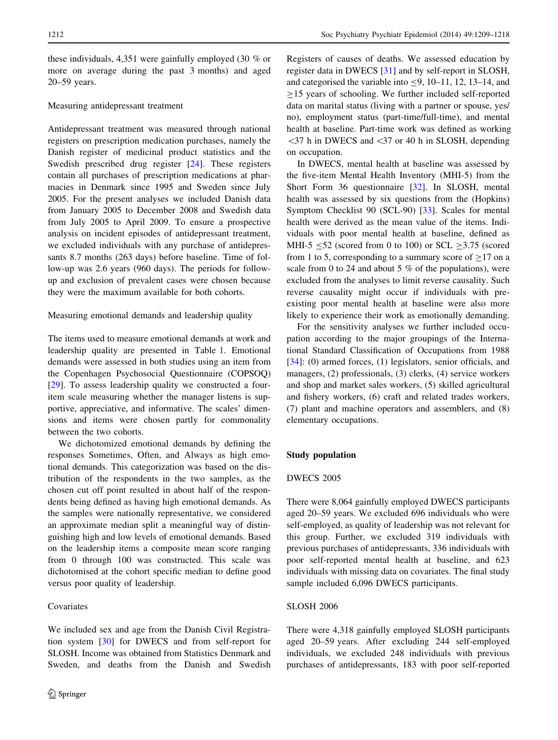these individuals, 4,351 were gainfully employed (30 % or more on average during the past 3 months) and aged 20–59 years.

# Measuring antidepressant treatment

Antidepressant treatment was measured through national registers on prescription medication purchases, namely the Danish register of medicinal product statistics and the Swedish prescribed drug register [\[24](#page-9-0)]. These registers contain all purchases of prescription medications at pharmacies in Denmark since 1995 and Sweden since July 2005. For the present analyses we included Danish data from January 2005 to December 2008 and Swedish data from July 2005 to April 2009. To ensure a prospective analysis on incident episodes of antidepressant treatment, we excluded individuals with any purchase of antidepressants 8.7 months (263 days) before baseline. Time of follow-up was 2.6 years (960 days). The periods for followup and exclusion of prevalent cases were chosen because they were the maximum available for both cohorts.

# Measuring emotional demands and leadership quality

The items used to measure emotional demands at work and leadership quality are presented in Table [1.](#page-2-0) Emotional demands were assessed in both studies using an item from the Copenhagen Psychosocial Questionnaire (COPSOQ) [\[29](#page-9-0)]. To assess leadership quality we constructed a fouritem scale measuring whether the manager listens is supportive, appreciative, and informative. The scales' dimensions and items were chosen partly for commonality between the two cohorts.

We dichotomized emotional demands by defining the responses Sometimes, Often, and Always as high emotional demands. This categorization was based on the distribution of the respondents in the two samples, as the chosen cut off point resulted in about half of the respondents being defined as having high emotional demands. As the samples were nationally representative, we considered an approximate median split a meaningful way of distinguishing high and low levels of emotional demands. Based on the leadership items a composite mean score ranging from 0 through 100 was constructed. This scale was dichotomised at the cohort specific median to define good versus poor quality of leadership.

# Covariates

We included sex and age from the Danish Civil Registration system [[30\]](#page-9-0) for DWECS and from self-report for SLOSH. Income was obtained from Statistics Denmark and Sweden, and deaths from the Danish and Swedish Registers of causes of deaths. We assessed education by register data in DWECS [[31\]](#page-9-0) and by self-report in SLOSH, and categorised the variable into  $\leq$ 9, 10–11, 12, 13–14, and  $\geq$ 15 years of schooling. We further included self-reported data on marital status (living with a partner or spouse, yes/ no), employment status (part-time/full-time), and mental health at baseline. Part-time work was defined as working  $\langle$ 37 h in DWECS and  $\langle$ 37 or 40 h in SLOSH, depending on occupation.

In DWECS, mental health at baseline was assessed by the five-item Mental Health Inventory (MHI-5) from the Short Form 36 questionnaire [[32\]](#page-9-0). In SLOSH, mental health was assessed by six questions from the (Hopkins) Symptom Checklist 90 (SCL-90) [\[33](#page-9-0)]. Scales for mental health were derived as the mean value of the items. Individuals with poor mental health at baseline, defined as MHI-5  $\leq$ 52 (scored from 0 to 100) or SCL  $\geq$ 3.75 (scored from 1 to 5, corresponding to a summary score of  $>17$  on a scale from 0 to 24 and about 5  $%$  of the populations), were excluded from the analyses to limit reverse causality. Such reverse causality might occur if individuals with preexisting poor mental health at baseline were also more likely to experience their work as emotionally demanding.

For the sensitivity analyses we further included occupation according to the major groupings of the International Standard Classification of Occupations from 1988 [\[34](#page-9-0)]: (0) armed forces, (1) legislators, senior officials, and managers, (2) professionals, (3) clerks, (4) service workers and shop and market sales workers, (5) skilled agricultural and fishery workers, (6) craft and related trades workers, (7) plant and machine operators and assemblers, and (8) elementary occupations.

#### Study population

## DWECS 2005

There were 8,064 gainfully employed DWECS participants aged 20–59 years. We excluded 696 individuals who were self-employed, as quality of leadership was not relevant for this group. Further, we excluded 319 individuals with previous purchases of antidepressants, 336 individuals with poor self-reported mental health at baseline, and 623 individuals with missing data on covariates. The final study sample included 6,096 DWECS participants.

## SLOSH 2006

There were 4,318 gainfully employed SLOSH participants aged 20–59 years. After excluding 244 self-employed individuals, we excluded 248 individuals with previous purchases of antidepressants, 183 with poor self-reported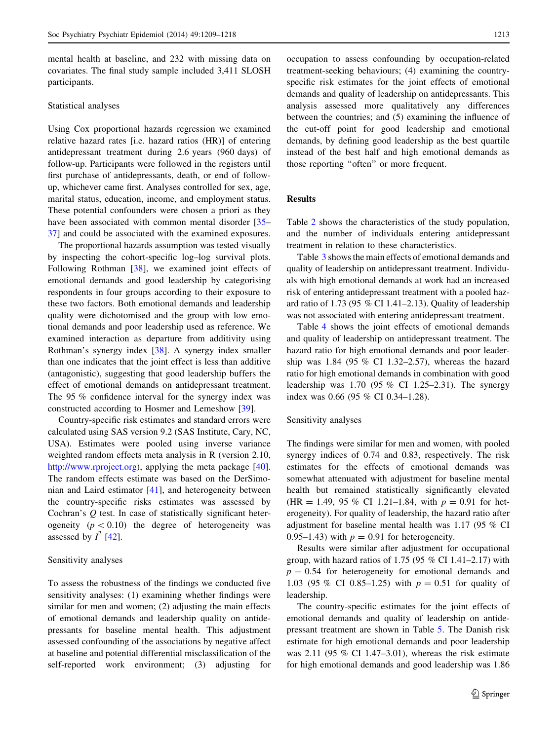mental health at baseline, and 232 with missing data on covariates. The final study sample included 3,411 SLOSH participants.

# Statistical analyses

Using Cox proportional hazards regression we examined relative hazard rates [i.e. hazard ratios (HR)] of entering antidepressant treatment during 2.6 years (960 days) of follow-up. Participants were followed in the registers until first purchase of antidepressants, death, or end of followup, whichever came first. Analyses controlled for sex, age, marital status, education, income, and employment status. These potential confounders were chosen a priori as they have been associated with common mental disorder [\[35](#page-9-0)– [37](#page-9-0)] and could be associated with the examined exposures.

The proportional hazards assumption was tested visually by inspecting the cohort-specific log–log survival plots. Following Rothman [[38\]](#page-9-0), we examined joint effects of emotional demands and good leadership by categorising respondents in four groups according to their exposure to these two factors. Both emotional demands and leadership quality were dichotomised and the group with low emotional demands and poor leadership used as reference. We examined interaction as departure from additivity using Rothman's synergy index [\[38](#page-9-0)]. A synergy index smaller than one indicates that the joint effect is less than additive (antagonistic), suggesting that good leadership buffers the effect of emotional demands on antidepressant treatment. The 95 % confidence interval for the synergy index was constructed according to Hosmer and Lemeshow [[39\]](#page-9-0).

Country-specific risk estimates and standard errors were calculated using SAS version 9.2 (SAS Institute, Cary, NC, USA). Estimates were pooled using inverse variance weighted random effects meta analysis in R (version 2.10, <http://www.rproject.org>), applying the meta package [\[40](#page-9-0)]. The random effects estimate was based on the DerSimonian and Laird estimator [[41\]](#page-9-0), and heterogeneity between the country-specific risks estimates was assessed by Cochran's Q test. In case of statistically significant heterogeneity  $(p < 0.10)$  the degree of heterogeneity was assessed by  $I^2$  [\[42](#page-9-0)].

## Sensitivity analyses

To assess the robustness of the findings we conducted five sensitivity analyses: (1) examining whether findings were similar for men and women; (2) adjusting the main effects of emotional demands and leadership quality on antidepressants for baseline mental health. This adjustment assessed confounding of the associations by negative affect at baseline and potential differential misclassification of the self-reported work environment; (3) adjusting for occupation to assess confounding by occupation-related treatment-seeking behaviours; (4) examining the countryspecific risk estimates for the joint effects of emotional demands and quality of leadership on antidepressants. This analysis assessed more qualitatively any differences between the countries; and (5) examining the influence of the cut-off point for good leadership and emotional demands, by defining good leadership as the best quartile instead of the best half and high emotional demands as those reporting ''often'' or more frequent.

# Results

Table [2](#page-5-0) shows the characteristics of the study population, and the number of individuals entering antidepressant treatment in relation to these characteristics.

Table [3](#page-5-0) shows the main effects of emotional demands and quality of leadership on antidepressant treatment. Individuals with high emotional demands at work had an increased risk of entering antidepressant treatment with a pooled hazard ratio of 1.73 (95 % CI 1.41–2.13). Quality of leadership was not associated with entering antidepressant treatment.

Table [4](#page-6-0) shows the joint effects of emotional demands and quality of leadership on antidepressant treatment. The hazard ratio for high emotional demands and poor leadership was 1.84 (95 % CI 1.32–2.57), whereas the hazard ratio for high emotional demands in combination with good leadership was 1.70 (95 % CI 1.25–2.31). The synergy index was 0.66 (95 % CI 0.34–1.28).

## Sensitivity analyses

The findings were similar for men and women, with pooled synergy indices of 0.74 and 0.83, respectively. The risk estimates for the effects of emotional demands was somewhat attenuated with adjustment for baseline mental health but remained statistically significantly elevated  $(HR = 1.49, 95\% \text{ CI } 1.21 - 1.84, \text{ with } p = 0.91 \text{ for het-}$ erogeneity). For quality of leadership, the hazard ratio after adjustment for baseline mental health was 1.17 (95 % CI 0.95–1.43) with  $p = 0.91$  for heterogeneity.

Results were similar after adjustment for occupational group, with hazard ratios of 1.75 (95  $%$  CI 1.41–2.17) with  $p = 0.54$  for heterogeneity for emotional demands and 1.03 (95 % CI 0.85–1.25) with  $p = 0.51$  for quality of leadership.

The country-specific estimates for the joint effects of emotional demands and quality of leadership on antidepressant treatment are shown in Table [5](#page-6-0). The Danish risk estimate for high emotional demands and poor leadership was 2.11 (95 % CI 1.47–3.01), whereas the risk estimate for high emotional demands and good leadership was 1.86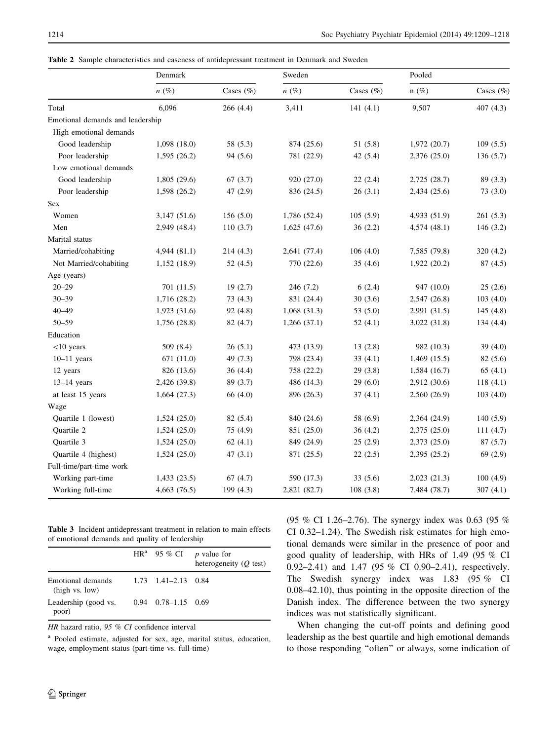<span id="page-5-0"></span>Table 2 Sample characteristics and caseness of antidepressant treatment in Denmark and Sweden Denmark Sweden Pooled  $n$  (%)  $n$  (%)  $n$  (%)  $\cos(\%)$  n (%)  $\cos(\%)$   $n$  (%)  $\cos(\%)$ Total 6,096 266 (4.4) 3,411 141 (4.1) 9,507 407 (4.3) Emotional demands and leadership High emotional demands Good leadership 1,098 (18.0) 58 (5.3) 874 (25.6) 51 (5.8) 1,972 (20.7) 109 (5.5) Poor leadership 1,595 (26.2) 94 (5.6) 781 (22.9) 42 (5.4) 2,376 (25.0) 136 (5.7) Low emotional demands Good leadership 1,805 (29.6) 67 (3.7) 920 (27.0) 22 (2.4) 2,725 (28.7) 89 (3.3) Poor leadership 1,598 (26.2) 47 (2.9) 836 (24.5) 26 (3.1) 2,434 (25.6) 73 (3.0) Sex Women 3,147 (51.6) 156 (5.0) 1,786 (52.4) 105 (5.9) 4,933 (51.9) 261 (5.3) Men 2,949 (48.4) 110 (3.7) 1,625 (47.6) 36 (2.2) 4,574 (48.1) 146 (3.2) Marital status Married/cohabiting 4,944 (81.1) 214 (4.3) 2,641 (77.4) 106 (4.0) 7,585 (79.8) 320 (4.2) Not Married/cohabiting 1,152 (18.9) 52 (4.5) 770 (22.6) 35 (4.6) 1,922 (20.2) 87 (4.5) Age (years) 20–29 701 (11.5) 19 (2.7) 246 (7.2) 6 (2.4) 947 (10.0) 25 (2.6) 30–39 1,716 (28.2) 73 (4.3) 831 (24.4) 30 (3.6) 2,547 (26.8) 103 (4.0) 40–49 1,923 (31.6) 92 (4.8) 1,068 (31.3) 53 (5.0) 2,991 (31.5) 145 (4.8) 50–59 1,756 (28.8) 82 (4.7) 1,266 (37.1) 52 (4.1) 3,022 (31.8) 134 (4.4) Education \10 years 509 (8.4) 26 (5.1) 473 (13.9) 13 (2.8) 982 (10.3) 39 (4.0) 10–11 years 671 (11.0) 49 (7.3) 798 (23.4) 33 (4.1) 1,469 (15.5) 82 (5.6) 12 years 826 (13.6) 36 (4.4) 758 (22.2) 29 (3.8) 1,584 (16.7) 65 (4.1) 13–14 years 2,426 (39.8) 89 (3.7) 486 (14.3) 29 (6.0) 2,912 (30.6) 118 (4.1) at least 15 years 1,664 (27.3) 66 (4.0) 896 (26.3) 37 (4.1) 2,560 (26.9) 103 (4.0) Wage

Quartile 1 (lowest) 1,524 (25.0) 82 (5.4) 840 (24.6) 58 (6.9) 2,364 (24.9) 140 (5.9) Quartile 2 1,524 (25.0) 75 (4.9) 851 (25.0) 36 (4.2) 2,375 (25.0) 111 (4.7) Quartile 3 1,524 (25.0) 62 (4.1) 849 (24.9) 25 (2.9) 2,373 (25.0) 87 (5.7) Quartile 4 (highest) 1,524 (25.0) 47 (3.1) 871 (25.5) 22 (2.5) 2,395 (25.2) 69 (2.9)

Working part-time 1,433 (23.5) 67 (4.7) 590 (17.3) 33 (5.6) 2,023 (21.3) 100 (4.9) Working full-time 4,663 (76.5) 199 (4.3) 2,821 (82.7) 108 (3.8) 7,484 (78.7) 307 (4.1)

Table 3 Incident antidepressant treatment in relation to main effects of emotional demands and quality of leadership

|                                     |                             | $HR^a$ 95 % CI p value for<br>heterogeneity $(Q \text{ test})$ |
|-------------------------------------|-----------------------------|----------------------------------------------------------------|
| Emotional demands<br>(high vs. low) | $1.73$ $1.41 - 2.13$ $0.84$ |                                                                |
| Leadership (good vs.<br>poor)       | $0.94$ $0.78 - 1.15$ $0.69$ |                                                                |

HR hazard ratio, 95 % CI confidence interval

Full-time/part-time work

<sup>a</sup> Pooled estimate, adjusted for sex, age, marital status, education, wage, employment status (part-time vs. full-time)

(95 % CI 1.26–2.76). The synergy index was 0.63 (95 % CI 0.32–1.24). The Swedish risk estimates for high emotional demands were similar in the presence of poor and good quality of leadership, with HRs of 1.49 (95 % CI 0.92–2.41) and 1.47 (95 % CI 0.90–2.41), respectively. The Swedish synergy index was 1.83 (95 % CI 0.08–42.10), thus pointing in the opposite direction of the Danish index. The difference between the two synergy indices was not statistically significant.

When changing the cut-off points and defining good leadership as the best quartile and high emotional demands to those responding ''often'' or always, some indication of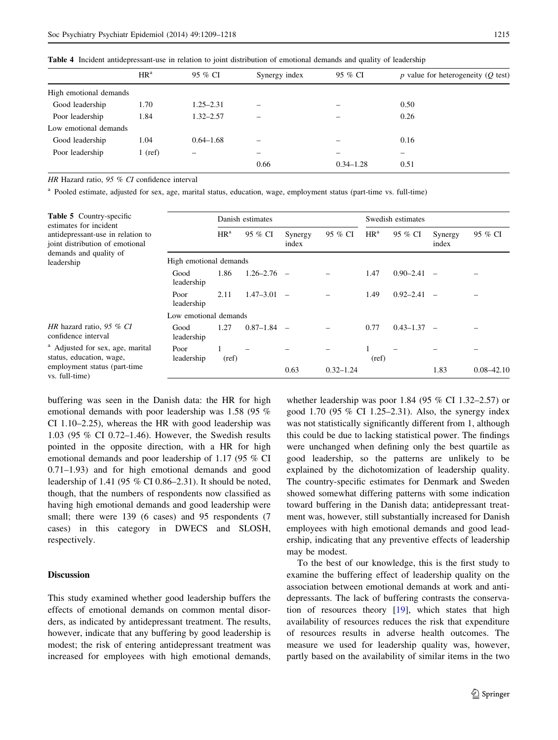<span id="page-6-0"></span>

|  |  | <b>Table 4</b> Incident antidepressant-use in relation to joint distribution of emotional demands and quality of leadership |
|--|--|-----------------------------------------------------------------------------------------------------------------------------|
|  |  |                                                                                                                             |

|                        | HR <sup>a</sup> | 95 % CI       | Synergy index | 95 % CI       | $p$ value for heterogeneity ( $Q$ test) |
|------------------------|-----------------|---------------|---------------|---------------|-----------------------------------------|
| High emotional demands |                 |               |               |               |                                         |
| Good leadership        | 1.70            | $1.25 - 2.31$ | -             |               | 0.50                                    |
| Poor leadership        | 1.84            | $1.32 - 2.57$ |               |               | 0.26                                    |
| Low emotional demands  |                 |               |               |               |                                         |
| Good leadership        | 1.04            | $0.64 - 1.68$ |               |               | 0.16                                    |
| Poor leadership        | $1$ (ref)       |               | -             |               | -                                       |
|                        |                 |               | 0.66          | $0.34 - 1.28$ | 0.51                                    |
|                        |                 |               |               |               |                                         |

HR Hazard ratio, 95 % CI confidence interval

<sup>a</sup> Pooled estimate, adjusted for sex, age, marital status, education, wage, employment status (part-time vs. full-time)

| <b>Table 5</b> Country-specific<br>estimates for incident<br>antidepressant-use in relation to<br>joint distribution of emotional<br>demands and quality of<br>leadership |                        | Danish estimates |                 |                  |               | Swedish estimates |               |                  |                |
|---------------------------------------------------------------------------------------------------------------------------------------------------------------------------|------------------------|------------------|-----------------|------------------|---------------|-------------------|---------------|------------------|----------------|
|                                                                                                                                                                           |                        | HR <sup>a</sup>  | 95 % CI         | Synergy<br>index | 95 % CI       | HR <sup>a</sup>   | 95 % CI       | Synergy<br>index | 95 % CI        |
|                                                                                                                                                                           | High emotional demands |                  |                 |                  |               |                   |               |                  |                |
|                                                                                                                                                                           | Good<br>leadership     | 1.86             | $1.26 - 2.76 =$ |                  |               | 1.47              | $0.90 - 2.41$ |                  |                |
|                                                                                                                                                                           | Poor<br>leadership     | 2.11             | $1.47 - 3.01 -$ |                  |               | 1.49              | $0.92 - 2.41$ |                  |                |
|                                                                                                                                                                           | Low emotional demands  |                  |                 |                  |               |                   |               |                  |                |
| HR hazard ratio, 95 % CI<br>confidence interval                                                                                                                           | Good<br>leadership     | 1.27             | $0.87 - 1.84$ - |                  |               | 0.77              | $0.43 - 1.37$ |                  |                |
| <sup>a</sup> Adjusted for sex, age, marital<br>status, education, wage,                                                                                                   | Poor<br>leadership     | (ref)            |                 |                  |               | (ref)             |               |                  |                |
| employment status (part-time)<br>vs. full-time)                                                                                                                           |                        |                  |                 | 0.63             | $0.32 - 1.24$ |                   |               | 1.83             | $0.08 - 42.10$ |

buffering was seen in the Danish data: the HR for high emotional demands with poor leadership was 1.58 (95 % CI 1.10–2.25), whereas the HR with good leadership was 1.03 (95 % CI 0.72–1.46). However, the Swedish results pointed in the opposite direction, with a HR for high emotional demands and poor leadership of 1.17 (95 % CI 0.71–1.93) and for high emotional demands and good leadership of 1.41 (95 % CI 0.86–2.31). It should be noted, though, that the numbers of respondents now classified as having high emotional demands and good leadership were small; there were 139 (6 cases) and 95 respondents (7 cases) in this category in DWECS and SLOSH, respectively.

## Discussion

This study examined whether good leadership buffers the effects of emotional demands on common mental disorders, as indicated by antidepressant treatment. The results, however, indicate that any buffering by good leadership is modest; the risk of entering antidepressant treatment was increased for employees with high emotional demands,

whether leadership was poor 1.84 (95 % CI 1.32–2.57) or good 1.70 (95 % CI 1.25–2.31). Also, the synergy index was not statistically significantly different from 1, although this could be due to lacking statistical power. The findings were unchanged when defining only the best quartile as good leadership, so the patterns are unlikely to be explained by the dichotomization of leadership quality. The country-specific estimates for Denmark and Sweden showed somewhat differing patterns with some indication toward buffering in the Danish data; antidepressant treatment was, however, still substantially increased for Danish employees with high emotional demands and good leadership, indicating that any preventive effects of leadership may be modest.

To the best of our knowledge, this is the first study to examine the buffering effect of leadership quality on the association between emotional demands at work and antidepressants. The lack of buffering contrasts the conservation of resources theory [[19\]](#page-9-0), which states that high availability of resources reduces the risk that expenditure of resources results in adverse health outcomes. The measure we used for leadership quality was, however, partly based on the availability of similar items in the two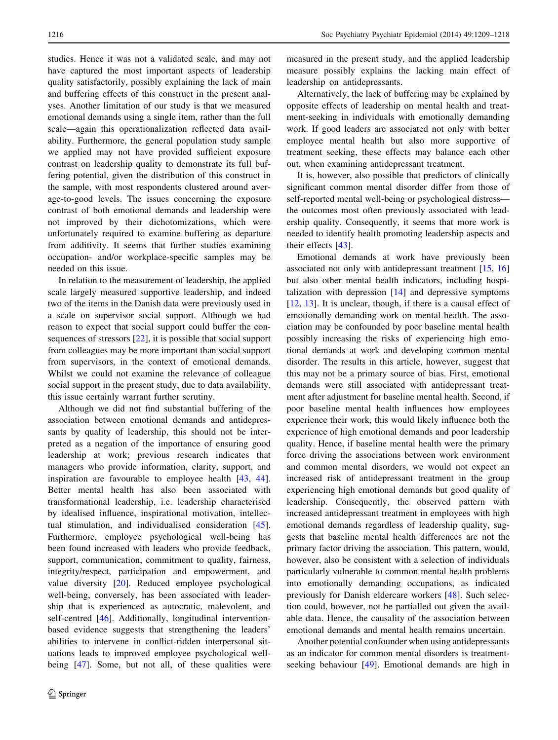studies. Hence it was not a validated scale, and may not have captured the most important aspects of leadership quality satisfactorily, possibly explaining the lack of main and buffering effects of this construct in the present analyses. Another limitation of our study is that we measured emotional demands using a single item, rather than the full scale––again this operationalization reflected data availability. Furthermore, the general population study sample we applied may not have provided sufficient exposure contrast on leadership quality to demonstrate its full buffering potential, given the distribution of this construct in the sample, with most respondents clustered around average-to-good levels. The issues concerning the exposure contrast of both emotional demands and leadership were not improved by their dichotomizations, which were unfortunately required to examine buffering as departure from additivity. It seems that further studies examining occupation- and/or workplace-specific samples may be needed on this issue.

In relation to the measurement of leadership, the applied scale largely measured supportive leadership, and indeed two of the items in the Danish data were previously used in a scale on supervisor social support. Although we had reason to expect that social support could buffer the consequences of stressors [[22\]](#page-9-0), it is possible that social support from colleagues may be more important than social support from supervisors, in the context of emotional demands. Whilst we could not examine the relevance of colleague social support in the present study, due to data availability, this issue certainly warrant further scrutiny.

Although we did not find substantial buffering of the association between emotional demands and antidepressants by quality of leadership, this should not be interpreted as a negation of the importance of ensuring good leadership at work; previous research indicates that managers who provide information, clarity, support, and inspiration are favourable to employee health [[43](#page-9-0), [44](#page-9-0)]. Better mental health has also been associated with transformational leadership, i.e. leadership characterised by idealised influence, inspirational motivation, intellectual stimulation, and individualised consideration [\[45](#page-9-0)]. Furthermore, employee psychological well-being has been found increased with leaders who provide feedback, support, communication, commitment to quality, fairness, integrity/respect, participation and empowerment, and value diversity [\[20](#page-9-0)]. Reduced employee psychological well-being, conversely, has been associated with leadership that is experienced as autocratic, malevolent, and self-centred [\[46](#page-9-0)]. Additionally, longitudinal interventionbased evidence suggests that strengthening the leaders' abilities to intervene in conflict-ridden interpersonal situations leads to improved employee psychological well-being [\[47](#page-9-0)]. Some, but not all, of these qualities were

measured in the present study, and the applied leadership measure possibly explains the lacking main effect of leadership on antidepressants.

Alternatively, the lack of buffering may be explained by opposite effects of leadership on mental health and treatment-seeking in individuals with emotionally demanding work. If good leaders are associated not only with better employee mental health but also more supportive of treatment seeking, these effects may balance each other out, when examining antidepressant treatment.

It is, however, also possible that predictors of clinically significant common mental disorder differ from those of self-reported mental well-being or psychological distress–– the outcomes most often previously associated with leadership quality. Consequently, it seems that more work is needed to identify health promoting leadership aspects and their effects [\[43](#page-9-0)].

Emotional demands at work have previously been associated not only with antidepressant treatment [[15,](#page-8-0) [16\]](#page-8-0) but also other mental health indicators, including hospitalization with depression [\[14](#page-8-0)] and depressive symptoms [\[12](#page-8-0), [13](#page-8-0)]. It is unclear, though, if there is a causal effect of emotionally demanding work on mental health. The association may be confounded by poor baseline mental health possibly increasing the risks of experiencing high emotional demands at work and developing common mental disorder. The results in this article, however, suggest that this may not be a primary source of bias. First, emotional demands were still associated with antidepressant treatment after adjustment for baseline mental health. Second, if poor baseline mental health influences how employees experience their work, this would likely influence both the experience of high emotional demands and poor leadership quality. Hence, if baseline mental health were the primary force driving the associations between work environment and common mental disorders, we would not expect an increased risk of antidepressant treatment in the group experiencing high emotional demands but good quality of leadership. Consequently, the observed pattern with increased antidepressant treatment in employees with high emotional demands regardless of leadership quality, suggests that baseline mental health differences are not the primary factor driving the association. This pattern, would, however, also be consistent with a selection of individuals particularly vulnerable to common mental health problems into emotionally demanding occupations, as indicated previously for Danish eldercare workers [\[48](#page-9-0)]. Such selection could, however, not be partialled out given the available data. Hence, the causality of the association between emotional demands and mental health remains uncertain.

Another potential confounder when using antidepressants as an indicator for common mental disorders is treatmentseeking behaviour [[49\]](#page-9-0). Emotional demands are high in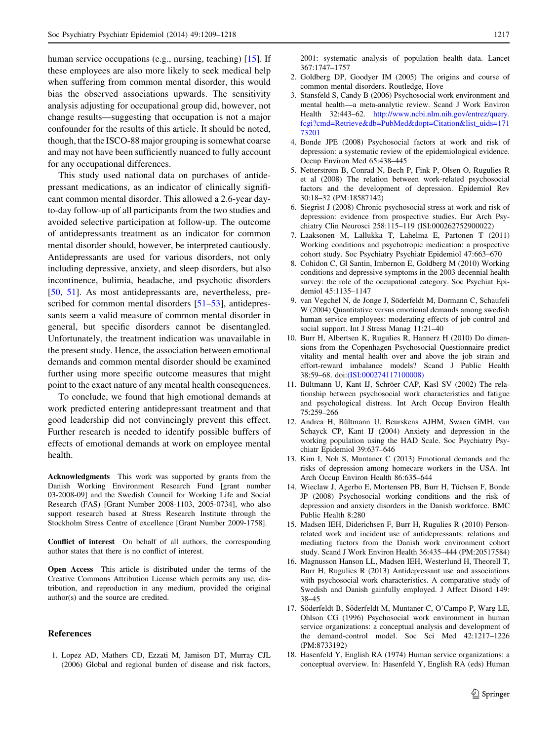<span id="page-8-0"></span>human service occupations (e.g., nursing, teaching) [15]. If these employees are also more likely to seek medical help when suffering from common mental disorder, this would bias the observed associations upwards. The sensitivity analysis adjusting for occupational group did, however, not change results––suggesting that occupation is not a major confounder for the results of this article. It should be noted, though, that the ISCO-88 major grouping is somewhat coarse and may not have been sufficiently nuanced to fully account for any occupational differences.

This study used national data on purchases of antidepressant medications, as an indicator of clinically significant common mental disorder. This allowed a 2.6-year dayto-day follow-up of all participants from the two studies and avoided selective participation at follow-up. The outcome of antidepressants treatment as an indicator for common mental disorder should, however, be interpreted cautiously. Antidepressants are used for various disorders, not only including depressive, anxiety, and sleep disorders, but also incontinence, bulimia, headache, and psychotic disorders [\[50](#page-9-0), [51](#page-9-0)]. As most antidepressants are, nevertheless, pre-scribed for common mental disorders [[51–53\]](#page-9-0), antidepressants seem a valid measure of common mental disorder in general, but specific disorders cannot be disentangled. Unfortunately, the treatment indication was unavailable in the present study. Hence, the association between emotional demands and common mental disorder should be examined further using more specific outcome measures that might point to the exact nature of any mental health consequences.

To conclude, we found that high emotional demands at work predicted entering antidepressant treatment and that good leadership did not convincingly prevent this effect. Further research is needed to identify possible buffers of effects of emotional demands at work on employee mental health.

Acknowledgments This work was supported by grants from the Danish Working Environment Research Fund [grant number 03-2008-09] and the Swedish Council for Working Life and Social Research (FAS) [Grant Number 2008-1103, 2005-0734], who also support research based at Stress Research Institute through the Stockholm Stress Centre of excellence [Grant Number 2009-1758].

Conflict of interest On behalf of all authors, the corresponding author states that there is no conflict of interest.

Open Access This article is distributed under the terms of the Creative Commons Attribution License which permits any use, distribution, and reproduction in any medium, provided the original author(s) and the source are credited.

## References

1. Lopez AD, Mathers CD, Ezzati M, Jamison DT, Murray CJL (2006) Global and regional burden of disease and risk factors,

2001: systematic analysis of population health data. Lancet 367:1747–1757

- 2. Goldberg DP, Goodyer IM (2005) The origins and course of common mental disorders. Routledge, Hove
- 3. Stansfeld S, Candy B (2006) Psychosocial work environment and mental health––a meta-analytic review. Scand J Work Environ Health 32:443–62. [http://www.ncbi.nlm.nih.gov/entrez/query.](http://www.ncbi.nlm.nih.gov/entrez/query.fcgi?cmd=Retrieve&db=PubMed&dopt=Citation&list_uids=17173201) [fcgi?cmd=Retrieve&db=PubMed&dopt=Citation&list\\_uids=171](http://www.ncbi.nlm.nih.gov/entrez/query.fcgi?cmd=Retrieve&db=PubMed&dopt=Citation&list_uids=17173201) [73201](http://www.ncbi.nlm.nih.gov/entrez/query.fcgi?cmd=Retrieve&db=PubMed&dopt=Citation&list_uids=17173201)
- 4. Bonde JPE (2008) Psychosocial factors at work and risk of depression: a systematic review of the epidemiological evidence. Occup Environ Med 65:438–445
- 5. Netterstrøm B, Conrad N, Bech P, Fink P, Olsen O, Rugulies R et al (2008) The relation between work-related psychosocial factors and the development of depression. Epidemiol Rev 30:18–32 (PM:18587142)
- 6. Siegrist J (2008) Chronic psychosocial stress at work and risk of depression: evidence from prospective studies. Eur Arch Psychiatry Clin Neurosci 258:115–119 (ISI:000262752900022)
- 7. Laaksonen M, Lallukka T, Lahelma E, Partonen T (2011) Working conditions and psychotropic medication: a prospective cohort study. Soc Psychiatry Psychiatr Epidemiol 47:663–670
- 8. Cohidon C, Gl Santin, Imbernon E, Goldberg M (2010) Working conditions and depressive symptoms in the 2003 decennial health survey: the role of the occupational category. Soc Psychiat Epidemiol 45:1135–1147
- 9. van Vegchel N, de Jonge J, Söderfeldt M, Dormann C, Schaufeli W (2004) Quantitative versus emotional demands among swedish human service employees: moderating effects of job control and social support. Int J Stress Manag 11:21–40
- 10. Burr H, Albertsen K, Rugulies R, Hannerz H (2010) Do dimensions from the Copenhagen Psychosocial Questionnaire predict vitality and mental health over and above the job strain and effort-reward imbalance models? Scand J Public Health 38:59–68. doi:[\(ISI:000274117100008\)](http://dx.doi.org/(ISI:000274117100008))
- 11. Bültmann U, Kant IJ, Schröer CAP, Kasl SV (2002) The relationship between psychosocial work characteristics and fatigue and psychological distress. Int Arch Occup Environ Health 75:259–266
- 12. Andrea H, Bültmann U, Beurskens AJHM, Swaen GMH, van Schayck CP, Kant IJ (2004) Anxiety and depression in the working population using the HAD Scale. Soc Psychiatry Psychiatr Epidemiol 39:637–646
- 13. Kim I, Noh S, Muntaner C (2013) Emotional demands and the risks of depression among homecare workers in the USA. Int Arch Occup Environ Health 86:635–644
- 14. Wieclaw J, Agerbo E, Mortensen PB, Burr H, Tüchsen F, Bonde JP (2008) Psychosocial working conditions and the risk of depression and anxiety disorders in the Danish workforce. BMC Public Health 8:280
- 15. Madsen IEH, Diderichsen F, Burr H, Rugulies R (2010) Personrelated work and incident use of antidepressants: relations and mediating factors from the Danish work environment cohort study. Scand J Work Environ Health 36:435–444 (PM:20517584)
- 16. Magnusson Hanson LL, Madsen IEH, Westerlund H, Theorell T, Burr H, Rugulies R (2013) Antidepressant use and associations with psychosocial work characteristics. A comparative study of Swedish and Danish gainfully employed. J Affect Disord 149: 38–45
- 17. Söderfeldt B, Söderfeldt M, Muntaner C, O'Campo P, Warg LE, Ohlson CG (1996) Psychosocial work environment in human service organizations: a conceptual analysis and development of the demand-control model. Soc Sci Med 42:1217–1226 (PM:8733192)
- 18. Hasenfeld Y, English RA (1974) Human service organizations: a conceptual overview. In: Hasenfeld Y, English RA (eds) Human